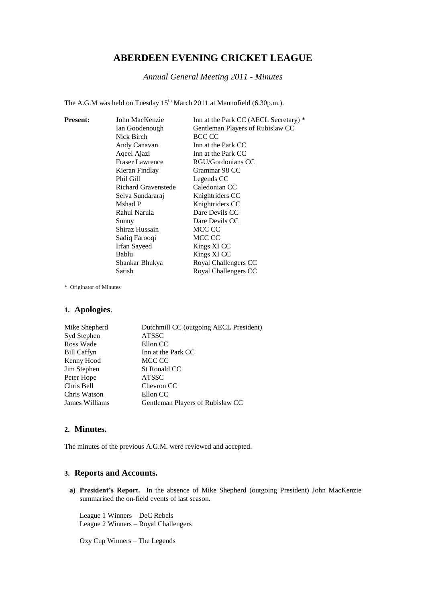# **ABERDEEN EVENING CRICKET LEAGUE**

*Annual General Meeting 2011 - Minutes*

The A.G.M was held on Tuesday  $15<sup>th</sup>$  March 2011 at Mannofield (6.30p.m.).

| <b>Present:</b> | John MacKenzie             | Inn at the Park CC (AECL Secretary) * |
|-----------------|----------------------------|---------------------------------------|
|                 | Ian Goodenough             | Gentleman Players of Rubislaw CC      |
|                 | Nick Birch                 | BCC CC                                |
|                 | Andy Canavan               | Inn at the Park CC                    |
|                 | Aqeel Ajazi                | Inn at the Park CC                    |
|                 | <b>Fraser Lawrence</b>     | RGU/Gordonians CC                     |
|                 | Kieran Findlay             | Grammar 98 CC                         |
|                 | Phil Gill                  | Legends CC                            |
|                 | <b>Richard Gravenstede</b> | Caledonian CC                         |
|                 | Selva Sundararaj           | Knightriders CC                       |
|                 | Mshad P                    | Knightriders CC                       |
|                 | Rahul Narula               | Dare Devils CC                        |
|                 | Sunny                      | Dare Devils CC                        |
|                 | Shiraz Hussain             | MCC CC                                |
|                 | Sadiq Farooqi              | MCC CC                                |
|                 | Irfan Sayeed               | Kings XI CC                           |
|                 | Bablu                      | Kings XI CC                           |
|                 | Shankar Bhukya             | Royal Challengers CC                  |
|                 | Satish                     | Royal Challengers CC                  |

\* Originator of Minutes

# **1. Apologies**.

| Mike Shepherd      | Dutchmill CC (outgoing AECL President) |
|--------------------|----------------------------------------|
| Syd Stephen        | <b>ATSSC</b>                           |
| Ross Wade          | Ellon CC                               |
| <b>Bill Caffyn</b> | Inn at the Park CC                     |
| Kenny Hood         | MCC CC                                 |
| Jim Stephen        | St Ronald CC                           |
| Peter Hope         | <b>ATSSC</b>                           |
| Chris Bell         | Chevron CC                             |
| Chris Watson       | Ellon CC                               |
| James Williams     | Gentleman Players of Rubislaw CC       |

# **2. Minutes.**

The minutes of the previous A.G.M. were reviewed and accepted.

### **3. Reports and Accounts.**

**a) President's Report.** In the absence of Mike Shepherd (outgoing President) John MacKenzie summarised the on-field events of last season.

League 1 Winners – DeC Rebels League 2 Winners – Royal Challengers

Oxy Cup Winners – The Legends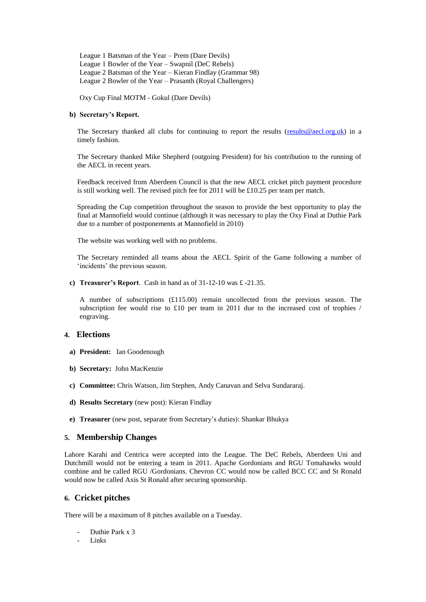League 1 Batsman of the Year – Prem (Dare Devils) League 1 Bowler of the Year – Swapnil (DeC Rebels) League 2 Batsman of the Year – Kieran Findlay (Grammar 98) League 2 Bowler of the Year – Prasanth (Royal Challengers)

Oxy Cup Final MOTM - Gokul (Dare Devils)

### **b) Secretary's Report.**

The Secretary thanked all clubs for continuing to report the results (results @aecl.org.uk) in a timely fashion.

The Secretary thanked Mike Shepherd (outgoing President) for his contribution to the running of the AECL in recent years.

Feedback received from Aberdeen Council is that the new AECL cricket pitch payment procedure is still working well. The revised pitch fee for 2011 will be £10.25 per team per match.

Spreading the Cup competition throughout the season to provide the best opportunity to play the final at Mannofield would continue (although it was necessary to play the Oxy Final at Duthie Park due to a number of postponements at Mannofield in 2010)

The website was working well with no problems.

The Secretary reminded all teams about the AECL Spirit of the Game following a number of 'incidents' the previous season.

**c) Treasurer's Report**. Cash in hand as of 31-12-10 was £ -21.35.

A number of subscriptions (£115.00) remain uncollected from the previous season. The subscription fee would rise to £10 per team in 2011 due to the increased cost of trophies / engraving.

### **4. Elections**

- **a) President:** Ian Goodenough
- **b) Secretary:** John MacKenzie
- **c) Committee:** Chris Watson, Jim Stephen, Andy Canavan and Selva Sundararaj.
- **d) Results Secretary** (new post): Kieran Findlay
- **e) Treasurer** (new post, separate from Secretary's duties): Shankar Bhukya

#### **5. Membership Changes**

Lahore Karahi and Centrica were accepted into the League. The DeC Rebels, Aberdeen Uni and Dutchmill would not be entering a team in 2011. Apache Gordonians and RGU Tomahawks would combine and be called RGU /Gordonians. Chevron CC would now be called BCC CC and St Ronald would now be called Axis St Ronald after securing sponsorship.

# **6. Cricket pitches**

There will be a maximum of 8 pitches available on a Tuesday.

- Duthie Park x 3
- Links